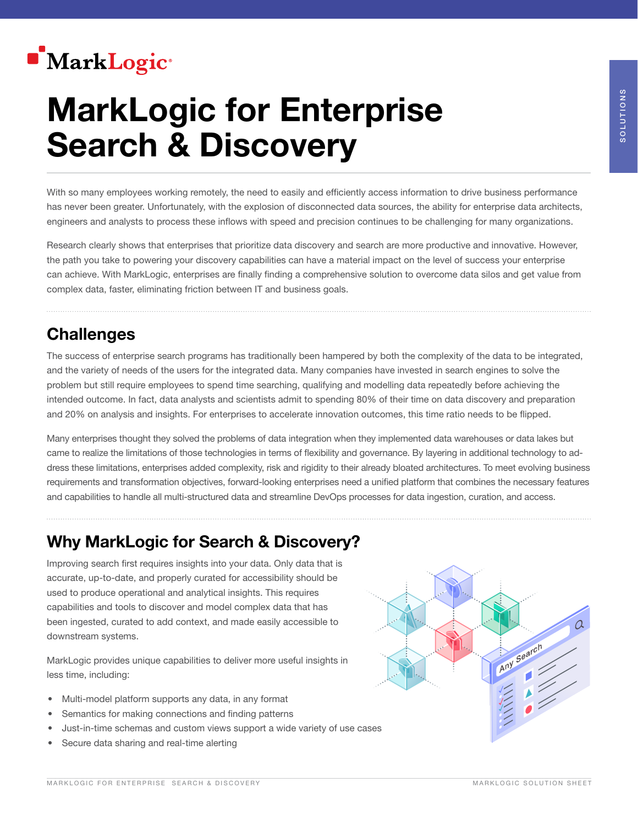## **MarkLogic**®

# MarkLogic for Enterprise Search & Discovery

With so many employees working remotely, the need to easily and efficiently access information to drive business performance has never been greater. Unfortunately, with the explosion of disconnected data sources, the ability for enterprise data architects, engineers and analysts to process these inflows with speed and precision continues to be challenging for many organizations.

Research clearly shows that enterprises that prioritize data discovery and search are more productive and innovative. However, the path you take to powering your discovery capabilities can have a material impact on the level of success your enterprise can achieve. With MarkLogic, enterprises are finally finding a comprehensive solution to overcome data silos and get value from complex data, faster, eliminating friction between IT and business goals.

## **Challenges**

The success of enterprise search programs has traditionally been hampered by both the complexity of the data to be integrated, and the variety of needs of the users for the integrated data. Many companies have invested in search engines to solve the problem but still require employees to spend time searching, qualifying and modelling data repeatedly before achieving the intended outcome. In fact, data analysts and scientists admit to spending 80% of their time on data discovery and preparation and 20% on analysis and insights. For enterprises to accelerate innovation outcomes, this time ratio needs to be flipped.

Many enterprises thought they solved the problems of data integration when they implemented data warehouses or data lakes but came to realize the limitations of those technologies in terms of flexibility and governance. By layering in additional technology to address these limitations, enterprises added complexity, risk and rigidity to their already bloated architectures. To meet evolving business requirements and transformation objectives, forward-looking enterprises need a unified platform that combines the necessary features and capabilities to handle all multi-structured data and streamline DevOps processes for data ingestion, curation, and access.

## Why MarkLogic for Search & Discovery?

Improving search first requires insights into your data. Only data that is accurate, up-to-date, and properly curated for accessibility should be used to produce operational and analytical insights. This requires capabilities and tools to discover and model complex data that has been ingested, curated to add context, and made easily accessible to downstream systems.

MarkLogic provides unique capabilities to deliver more useful insights in less time, including:

- Multi-model platform supports any data, in any format
- Semantics for making connections and finding patterns
- Just-in-time schemas and custom views support a wide variety of use cases
- Secure data sharing and real-time alerting